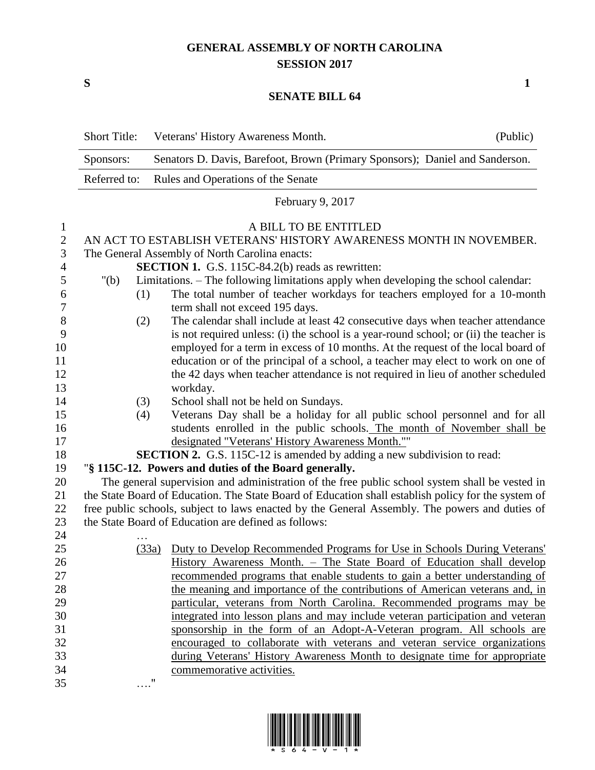## **GENERAL ASSEMBLY OF NORTH CAROLINA SESSION 2017**

**S 1**

## **SENATE BILL 64**

|                | <b>Short Title:</b>                                                                                 | Veterans' History Awareness Month.                                                    | (Public) |  |
|----------------|-----------------------------------------------------------------------------------------------------|---------------------------------------------------------------------------------------|----------|--|
|                | Sponsors:                                                                                           | Senators D. Davis, Barefoot, Brown (Primary Sponsors); Daniel and Sanderson.          |          |  |
|                | Referred to:                                                                                        | Rules and Operations of the Senate                                                    |          |  |
|                | February 9, 2017                                                                                    |                                                                                       |          |  |
| $\mathbf{1}$   |                                                                                                     | A BILL TO BE ENTITLED                                                                 |          |  |
| $\mathbf{2}$   |                                                                                                     | AN ACT TO ESTABLISH VETERANS' HISTORY AWARENESS MONTH IN NOVEMBER.                    |          |  |
| $\mathfrak{Z}$ | The General Assembly of North Carolina enacts:                                                      |                                                                                       |          |  |
| $\overline{4}$ |                                                                                                     | <b>SECTION 1.</b> G.S. 115C-84.2(b) reads as rewritten:                               |          |  |
| 5              | " $(b)$                                                                                             | Limitations. – The following limitations apply when developing the school calendar:   |          |  |
| 6              | (1)                                                                                                 | The total number of teacher workdays for teachers employed for a 10-month             |          |  |
| 7              |                                                                                                     | term shall not exceed 195 days.                                                       |          |  |
| 8              | (2)                                                                                                 | The calendar shall include at least 42 consecutive days when teacher attendance       |          |  |
| 9              |                                                                                                     | is not required unless: (i) the school is a year-round school; or (ii) the teacher is |          |  |
| 10             |                                                                                                     | employed for a term in excess of 10 months. At the request of the local board of      |          |  |
| 11             |                                                                                                     | education or of the principal of a school, a teacher may elect to work on one of      |          |  |
| 12             |                                                                                                     | the 42 days when teacher attendance is not required in lieu of another scheduled      |          |  |
| 13             |                                                                                                     | workday.                                                                              |          |  |
| 14             | (3)                                                                                                 | School shall not be held on Sundays.                                                  |          |  |
| 15             | (4)                                                                                                 | Veterans Day shall be a holiday for all public school personnel and for all           |          |  |
| 16             |                                                                                                     | students enrolled in the public schools. The month of November shall be               |          |  |
| 17             |                                                                                                     | designated "Veterans' History Awareness Month.""                                      |          |  |
| 18             |                                                                                                     | <b>SECTION 2.</b> G.S. 115C-12 is amended by adding a new subdivision to read:        |          |  |
| 19             | "§ 115C-12. Powers and duties of the Board generally.                                               |                                                                                       |          |  |
| 20             | The general supervision and administration of the free public school system shall be vested in      |                                                                                       |          |  |
| 21             | the State Board of Education. The State Board of Education shall establish policy for the system of |                                                                                       |          |  |
| 22             | free public schools, subject to laws enacted by the General Assembly. The powers and duties of      |                                                                                       |          |  |
| 23             |                                                                                                     | the State Board of Education are defined as follows:                                  |          |  |
| 24             |                                                                                                     |                                                                                       |          |  |
| 25             |                                                                                                     | Duty to Develop Recommended Programs for Use in Schools During Veterans'<br>(33a)     |          |  |
| 26             |                                                                                                     | History Awareness Month. - The State Board of Education shall develop                 |          |  |
| 27             |                                                                                                     | recommended programs that enable students to gain a better understanding of           |          |  |
| 28             |                                                                                                     | the meaning and importance of the contributions of American veterans and, in          |          |  |
| 29             |                                                                                                     | particular, veterans from North Carolina. Recommended programs may be                 |          |  |
| 30             |                                                                                                     | integrated into lesson plans and may include veteran participation and veteran        |          |  |
| 31             |                                                                                                     | sponsorship in the form of an Adopt-A-Veteran program. All schools are                |          |  |
| 32             |                                                                                                     | encouraged to collaborate with veterans and veteran service organizations             |          |  |
| 33             |                                                                                                     | during Veterans' History Awareness Month to designate time for appropriate            |          |  |
| 34             |                                                                                                     | commemorative activities.                                                             |          |  |
| 35             |                                                                                                     | 11                                                                                    |          |  |